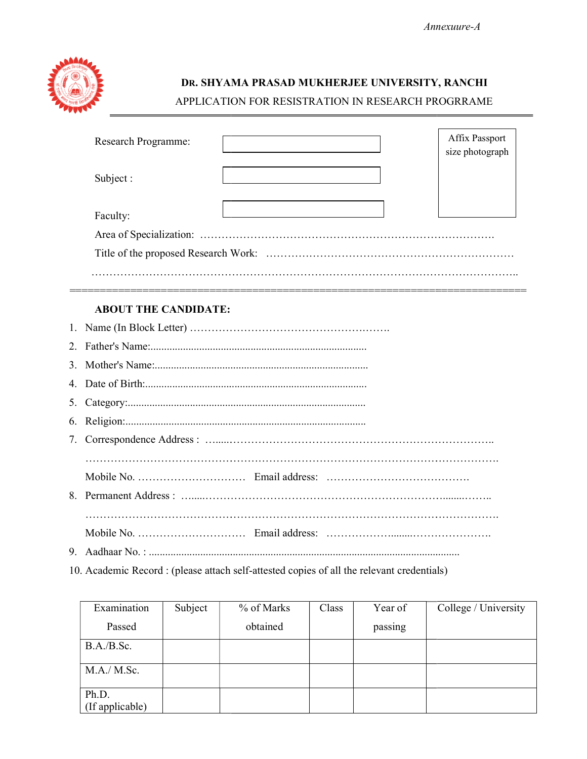

# DR. SHYAMA PRASAD MUKHERJEE UNIVERSITY, RANCHI APPLICATION FOR RESISTRATION IN RESEARCH PROGRRAME

|                             | APPLICATION FOR RESISTRATION IN RESEARCH PROGRRAME |                                   |  |
|-----------------------------|----------------------------------------------------|-----------------------------------|--|
| Research Programme:         |                                                    | Affix Passport<br>size photograph |  |
| Subject:                    |                                                    |                                   |  |
| Faculty:                    |                                                    |                                   |  |
| <b>ABOUT THE CANDIDATE:</b> |                                                    |                                   |  |
|                             |                                                    |                                   |  |
|                             |                                                    |                                   |  |
|                             |                                                    |                                   |  |
|                             |                                                    |                                   |  |
|                             |                                                    |                                   |  |
|                             |                                                    |                                   |  |
|                             |                                                    |                                   |  |

## ABOUT THE CANDIDATE:

| <b>ABOUT THE CANDIDATE:</b> |
|-----------------------------|
|                             |
|                             |
|                             |
|                             |
|                             |
|                             |
|                             |
|                             |
|                             |
|                             |
|                             |
|                             |
|                             |

| Aadhaar No. :                                                                          |         |            |       |         |                      |  |  |
|----------------------------------------------------------------------------------------|---------|------------|-------|---------|----------------------|--|--|
| Academic Record : (please attach self-attested copies of all the relevant credentials) |         |            |       |         |                      |  |  |
|                                                                                        |         |            |       |         |                      |  |  |
|                                                                                        |         |            |       |         |                      |  |  |
| Examination                                                                            | Subject | % of Marks | Class | Year of | College / University |  |  |
| Passed                                                                                 |         | obtained   |       | passing |                      |  |  |
|                                                                                        |         |            |       |         |                      |  |  |
| B.A./B.Sc.                                                                             |         |            |       |         |                      |  |  |
|                                                                                        |         |            |       |         |                      |  |  |
| M.A./ M.Sc.                                                                            |         |            |       |         |                      |  |  |
| Ph.D.                                                                                  |         |            |       |         |                      |  |  |
| (If applicable)                                                                        |         |            |       |         |                      |  |  |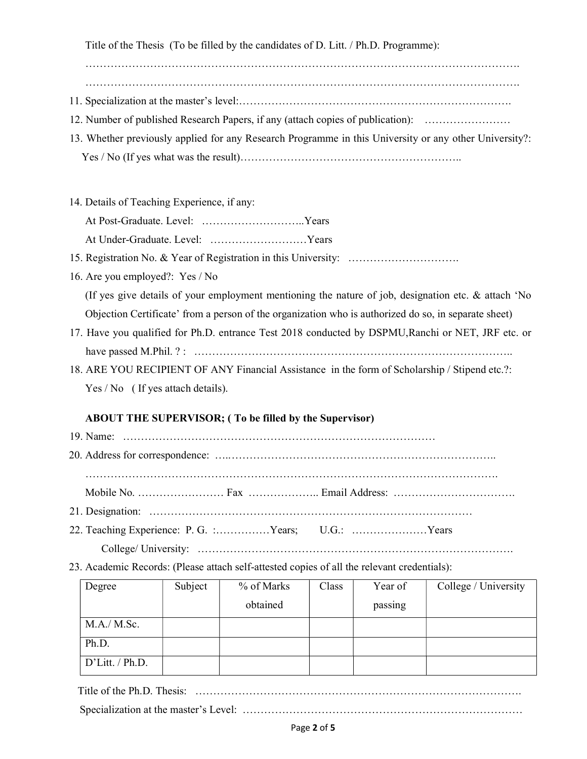Title of the Thesis (To be filled by the candidates of D. Litt. / Ph.D. Programme):

………………………………………………………………………………………………………….

- ………………………………………………………………………………………………………….
- 11. Specialization at the master's level:………………………………………………………………….
- 12. Number of published Research Papers, if any (attach copies of publication): ……………………
- 13. Whether previously applied for any Research Programme in this University or any other University?: Yes / No (If yes what was the result)……………………………………………………..
- 14. Details of Teaching Experience, if any:
	- At Post-Graduate. Level: ………………………..Years

At Under-Graduate. Level: ………………………Years

- 15. Registration No. & Year of Registration in this University: ………………………….
- 16. Are you employed?: Yes / No

(If yes give details of your employment mentioning the nature of job, designation etc. & attach 'No Objection Certificate' from a person of the organization who is authorized do so, in separate sheet)

- 17. Have you qualified for Ph.D. entrance Test 2018 conducted by DSPMU,Ranchi or NET, JRF etc. or have passed M.Phil. ? : ……………………………………………………………………………..
- 18. ARE YOU RECIPIENT OF ANY Financial Assistance in the form of Scholarship / Stipend etc.?: Yes / No ( If yes attach details).

# ABOUT THE SUPERVISOR; ( To be filled by the Supervisor)

- 19. Name: …………………………………………………………………………… 20. Address for correspondence: ….. ……………………………………………………………….. …………………………………………………………………………………………………….
- Mobile No. …………………… Fax ……………….. Email Address: …………………………….
- 21. Designation: ………………………………………………………………………………
- 22. Teaching Experience: P. G. :……………Years; U.G.: …………………Years
- College/ University: …………………………………………………………………………….
- 23. Academic Records: (Please attach self-attested copies of all the relevant credentials):

| Degree             | Subject | % of Marks | Class | Year of | College / University |
|--------------------|---------|------------|-------|---------|----------------------|
|                    |         | obtained   |       | passing |                      |
| M.A./ M.Sc.        |         |            |       |         |                      |
| Ph.D.              |         |            |       |         |                      |
| $D'$ Litt. / Ph.D. |         |            |       |         |                      |

Title of the Ph.D. Thesis: ……………………………………………………………………………….

Specialization at the master's Level: ……………………………………………………………………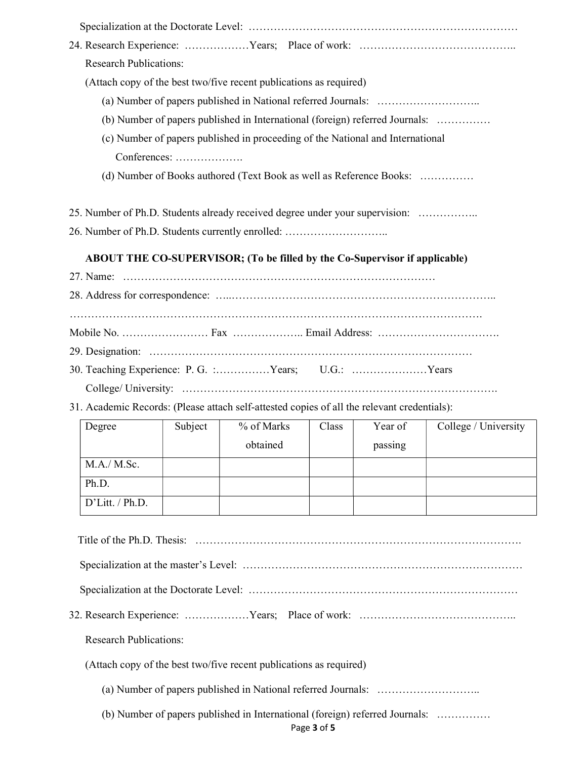| <b>Research Publications:</b>                                                               |         |                                                                            |       |         |                      |  |  |
|---------------------------------------------------------------------------------------------|---------|----------------------------------------------------------------------------|-------|---------|----------------------|--|--|
| (Attach copy of the best two/five recent publications as required)                          |         |                                                                            |       |         |                      |  |  |
|                                                                                             |         |                                                                            |       |         |                      |  |  |
| (b) Number of papers published in International (foreign) referred Journals:                |         |                                                                            |       |         |                      |  |  |
| (c) Number of papers published in proceeding of the National and International              |         |                                                                            |       |         |                      |  |  |
| Conferences:                                                                                |         |                                                                            |       |         |                      |  |  |
|                                                                                             |         | (d) Number of Books authored (Text Book as well as Reference Books:        |       |         |                      |  |  |
| 25. Number of Ph.D. Students already received degree under your supervision:                |         |                                                                            |       |         |                      |  |  |
| 26. Number of Ph.D. Students currently enrolled:                                            |         |                                                                            |       |         |                      |  |  |
|                                                                                             |         | ABOUT THE CO-SUPERVISOR; (To be filled by the Co-Supervisor if applicable) |       |         |                      |  |  |
|                                                                                             |         |                                                                            |       |         |                      |  |  |
|                                                                                             |         |                                                                            |       |         |                      |  |  |
|                                                                                             |         |                                                                            |       |         |                      |  |  |
|                                                                                             |         |                                                                            |       |         |                      |  |  |
|                                                                                             |         |                                                                            |       |         |                      |  |  |
| 30. Teaching Experience: P. G. :Years; U.G.: Years                                          |         |                                                                            |       |         |                      |  |  |
|                                                                                             |         |                                                                            |       |         |                      |  |  |
| 31. Academic Records: (Please attach self-attested copies of all the relevant credentials): |         |                                                                            |       |         |                      |  |  |
| Degree                                                                                      | Subject | % of Marks                                                                 | Class | Year of | College / University |  |  |
|                                                                                             |         | obtained   passing                                                         |       |         |                      |  |  |
| M.A./ M.Sc.                                                                                 |         |                                                                            |       |         |                      |  |  |
| Ph.D.                                                                                       |         |                                                                            |       |         |                      |  |  |
| D'Litt. / Ph.D.                                                                             |         |                                                                            |       |         |                      |  |  |
|                                                                                             |         |                                                                            |       |         |                      |  |  |
|                                                                                             |         |                                                                            |       |         |                      |  |  |
|                                                                                             |         |                                                                            |       |         |                      |  |  |
|                                                                                             |         |                                                                            |       |         |                      |  |  |
|                                                                                             |         |                                                                            |       |         |                      |  |  |
| <b>Research Publications:</b>                                                               |         |                                                                            |       |         |                      |  |  |
| (Attach copy of the best two/five recent publications as required)                          |         |                                                                            |       |         |                      |  |  |
|                                                                                             |         |                                                                            |       |         |                      |  |  |
| (b) Number of papers published in International (foreign) referred Journals:<br>Page 3 of 5 |         |                                                                            |       |         |                      |  |  |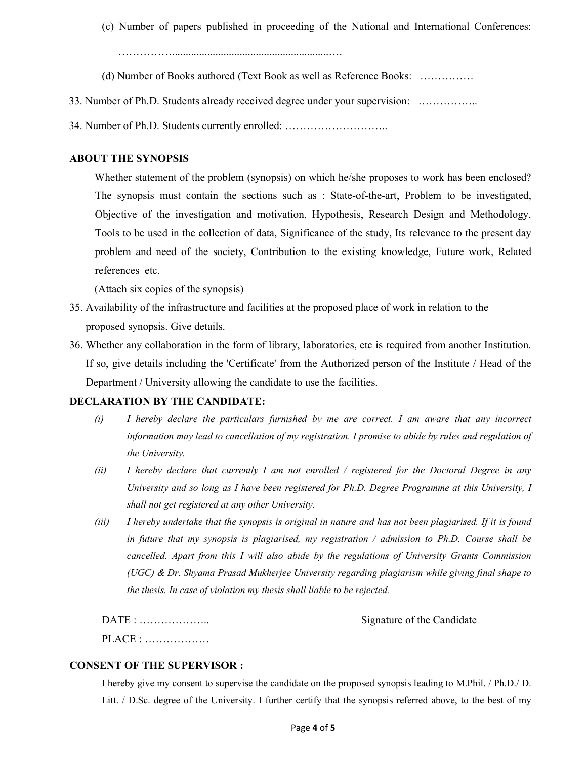(c) Number of papers published in proceeding of the National and International Conferences:

……………..........................................................….

- (d) Number of Books authored (Text Book as well as Reference Books: ……………
- 33. Number of Ph.D. Students already received degree under your supervision: ……………..
- 34. Number of Ph.D. Students currently enrolled: ………………………..

### ABOUT THE SYNOPSIS

Whether statement of the problem (synopsis) on which he/she proposes to work has been enclosed? The synopsis must contain the sections such as : State-of-the-art, Problem to be investigated, Objective of the investigation and motivation, Hypothesis, Research Design and Methodology, Tools to be used in the collection of data, Significance of the study, Its relevance to the present day problem and need of the society, Contribution to the existing knowledge, Future work, Related references etc.

(Attach six copies of the synopsis)

- 35. Availability of the infrastructure and facilities at the proposed place of work in relation to the proposed synopsis. Give details.
- 36. Whether any collaboration in the form of library, laboratories, etc is required from another Institution. If so, give details including the 'Certificate' from the Authorized person of the Institute / Head of the Department / University allowing the candidate to use the facilities.

## DECLARATION BY THE CANDIDATE:

- (i) I hereby declare the particulars furnished by me are correct. I am aware that any incorrect information may lead to cancellation of my registration. I promise to abide by rules and regulation of the University.
- (ii) I hereby declare that currently I am not enrolled / registered for the Doctoral Degree in any University and so long as I have been registered for Ph.D. Degree Programme at this University, I shall not get registered at any other University.
- (iii) I hereby undertake that the synopsis is original in nature and has not been plagiarised. If it is found in future that my synopsis is plagiarised, my registration  $\ell$  admission to Ph.D. Course shall be cancelled. Apart from this I will also abide by the regulations of University Grants Commission (UGC) & Dr. Shyama Prasad Mukherjee University regarding plagiarism while giving final shape to the thesis. In case of violation my thesis shall liable to be rejected.

| DATE :                                        | Signature of the Candidate |
|-----------------------------------------------|----------------------------|
| $\text{PLACE}: \dots \dots \dots \dots \dots$ |                            |

#### CONSENT OF THE SUPERVISOR :

I hereby give my consent to supervise the candidate on the proposed synopsis leading to M.Phil. / Ph.D./ D. Litt. / D.Sc. degree of the University. I further certify that the synopsis referred above, to the best of my